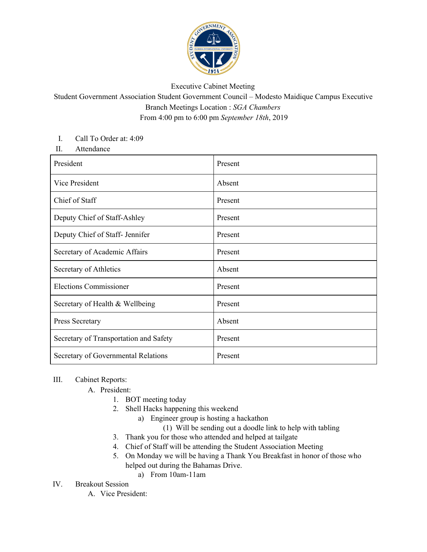

### Executive Cabinet Meeting

# Student Government Association Student Government Council – Modesto Maidique Campus Executive Branch Meetings Location : *SGA Chambers* From 4:00 pm to 6:00 pm *September 18th*, 2019

#### I. Call To Order at: 4:09

II. Attendance

| President                              | Present |
|----------------------------------------|---------|
| Vice President                         | Absent  |
| Chief of Staff                         | Present |
| Deputy Chief of Staff-Ashley           | Present |
| Deputy Chief of Staff- Jennifer        | Present |
| Secretary of Academic Affairs          | Present |
| Secretary of Athletics                 | Absent  |
| <b>Elections Commissioner</b>          | Present |
| Secretary of Health & Wellbeing        | Present |
| Press Secretary                        | Absent  |
| Secretary of Transportation and Safety | Present |
| Secretary of Governmental Relations    | Present |

## III. Cabinet Reports:

A. President:

- 1. BOT meeting today
- 2. Shell Hacks happening this weekend
	- a) Engineer group is hosting a hackathon
		- (1) Will be sending out a doodle link to help with tabling
- 3. Thank you for those who attended and helped at tailgate
- 4. Chief of Staff will be attending the Student Association Meeting
- 5. On Monday we will be having a Thank You Breakfast in honor of those who helped out during the Bahamas Drive.
	- a) From 10am-11am

## IV. Breakout Session

A. Vice President: